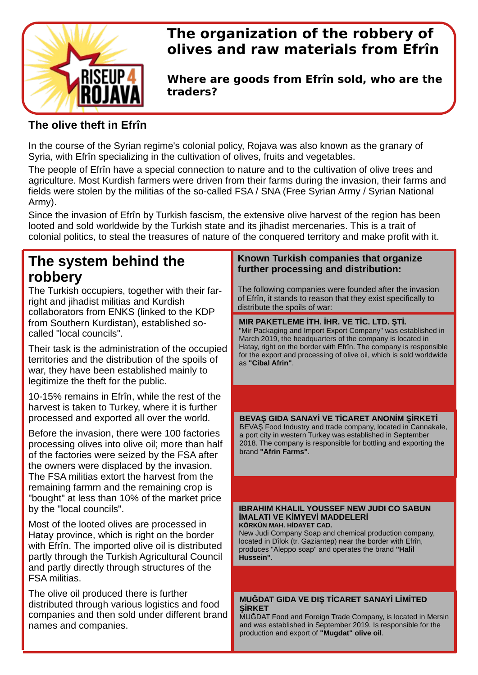

# **The organization of the robbery of olives and raw materials from Efrîn**

**Where are goods from Efrîn sold, who are the traders?**

## **The olive theft in Efrîn**

In the course of the Syrian regime's colonial policy, Rojava was also known as the granary of Syria, with Efrîn specializing in the cultivation of olives, fruits and vegetables.

The people of Efrîn have a special connection to nature and to the cultivation of olive trees and agriculture. Most Kurdish farmers were driven from their farms during the invasion, their farms and fields were stolen by the militias of the so-called FSA / SNA (Free Syrian Army / Syrian National Army).

Since the invasion of Efrîn by Turkish fascism, the extensive olive harvest of the region has been looted and sold worldwide by the Turkish state and its jihadist mercenaries. This is a trait of colonial politics, to steal the treasures of nature of the conquered territory and make profit with it.

# **The system behind the robbery**

The Turkish occupiers, together with their farright and jihadist militias and Kurdish collaborators from ENKS (linked to the KDP from Southern Kurdistan), established socalled "local councils".

Their task is the administration of the occupied territories and the distribution of the spoils of war, they have been established mainly to legitimize the theft for the public.

10-15% remains in Efrîn, while the rest of the harvest is taken to Turkey, where it is further processed and exported all over the world.

Before the invasion, there were 100 factories processing olives into olive oil; more than half of the factories were seized by the FSA after the owners were displaced by the invasion. The FSA militias extort the harvest from the remaining farmrn and the remaining crop is "bought" at less than 10% of the market price by the "local councils".

Most of the looted olives are processed in Hatay province, which is right on the border with Efrîn. The imported olive oil is distributed partly through the Turkish Agricultural Council and partly directly through structures of the FSA militias.

The olive oil produced there is further distributed through various logistics and food companies and then sold under different brand names and companies.

### **Known Turkish companies that organize further processing and distribution:**

The following companies were founded after the invasion of Efrîn, it stands to reason that they exist specifically to distribute the spoils of war:

### **MIR PAKETLEME İTH. İHR. VE TİC. LTD. ŞTİ.**

"Mir Packaging and Import Export Company" was established in March 2019, the headquarters of the company is located in Hatay, right on the border with Efrîn. The company is responsible for the export and processing of olive oil, which is sold worldwide as **"Cibal Afrin"**.

**BEVAŞ GIDA SANAYİ VE TİCARET ANONİM ŞİRKETİ** BEVAŞ Food Industry and trade company, located in Cannakale, a port city in western Turkey was established in September 2018. The company is responsible for bottling and exporting the brand **"Afrin Farms"**.

#### **IBRAHIM KHALIL YOUSSEF NEW JUDI CO SABUN İMALATI VE KİMYEVİ MADDELERİ KÖRKÜN MAH. HİDAYET CAD.**

New Judi Company Soap and chemical production company, located in Dîlok (tr. Gaziantep) near the border with Efrîn, produces "Aleppo soap" and operates the brand **"Halil Hussein"**.

#### **MUĞDAT GIDA VE DIŞ TİCARET SANAYİ LİMİTED ŞİRKET**

MUĞDAT Food and Foreign Trade Company, is located in Mersin and was established in September 2019. Is responsible for the production and export of **"Mugdat" olive oil**.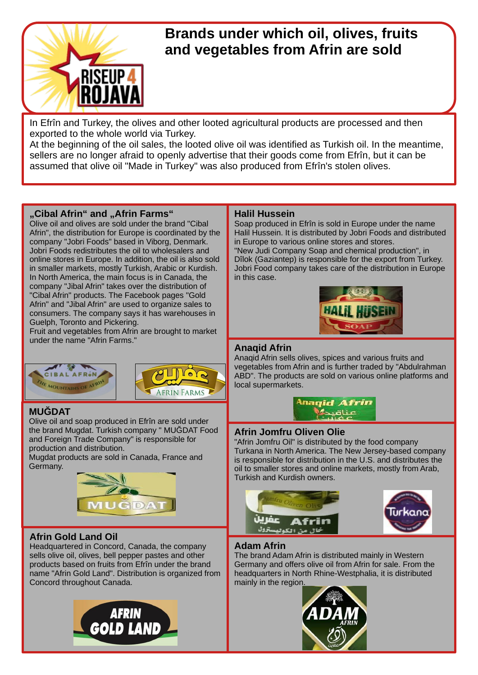

# **Brands under which oil, olives, fruits and vegetables from Afrin are sold**

In Efrîn and Turkey, the olives and other looted agricultural products are processed and then exported to the whole world via Turkey.

At the beginning of the oil sales, the looted olive oil was identified as Turkish oil. In the meantime, sellers are no longer afraid to openly advertise that their goods come from Efrîn, but it can be assumed that olive oil "Made in Turkey" was also produced from Efrîn's stolen olives.

### "Cibal Afrin" and "Afrin Farms"

Olive oil and olives are sold under the brand "Cibal Afrin", the distribution for Europe is coordinated by the company "Jobri Foods" based in Viborg, Denmark. Jobri Foods redistributes the oil to wholesalers and online stores in Europe. In addition, the oil is also sold in smaller markets, mostly Turkish, Arabic or Kurdish. In North America, the main focus is in Canada, the company "Jibal Afrin" takes over the distribution of "Cibal Afrin" products. The Facebook pages "Gold Afrin" and "Jibal Afrin" are used to organize sales to consumers. The company says it has warehouses in Guelph, Toronto and Pickering.

Fruit and vegetables from Afrin are brought to market under the name "Afrin Farms."





## **MUĞDAT**

Olive oil and soap produced in Efrîn are sold under the brand Mugdat. Turkish company " MUĞDAT Food and Foreign Trade Company" is responsible for production and distribution.

Mugdat products are sold in Canada, France and Germany.



## **Afrin Gold Land Oil**

Headquartered in Concord, Canada, the company sells olive oil, olives, bell pepper pastes and other products based on fruits from Efrîn under the brand name "Afrin Gold Land". Distribution is organized from Concord throughout Canada.



### **Halil Hussein**

Soap produced in Efrîn is sold in Europe under the name Halil Hussein. It is distributed by Jobri Foods and distributed in Europe to various online stores and stores.

"New Judi Company Soap and chemical production", in Dîlok (Gaziantep) is responsible for the export from Turkey. Jobri Food company takes care of the distribution in Europe in this case.



#### **Anaqid Afrin**

Anaqid Afrin sells olives, spices and various fruits and vegetables from Afrin and is further traded by "Abdulrahman ABD". The products are sold on various online platforms and local supermarkets.



#### **Afrin Jomfru Oliven Olie**

"Afrin Jomfru Oil" is distributed by the food company Turkana in North America. The New Jersey-based company is responsible for distribution in the U.S. and distributes the oil to smaller stores and online markets, mostly from Arab, Turkish and Kurdish owners.





#### **Adam Afrin**

The brand Adam Afrin is distributed mainly in Western Germany and offers olive oil from Afrin for sale. From the headquarters in North Rhine-Westphalia, it is distributed mainly in the region.

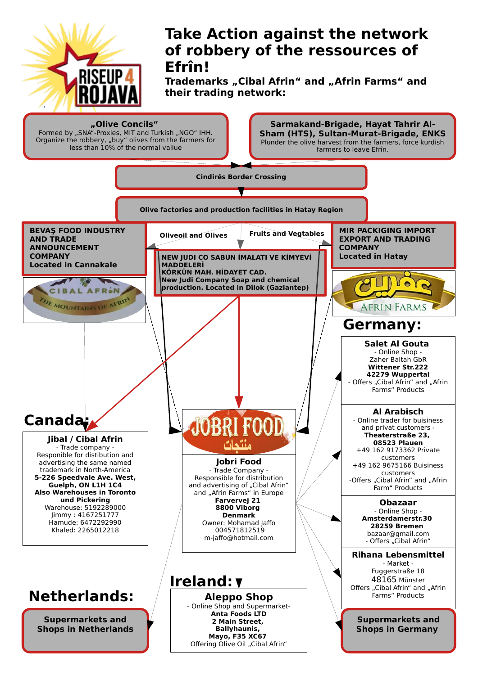

# **Take Action against the network of robbery of the ressources of Efrîn!**

Trademarks "Cibal Afrin" and "Afrin Farms" and **their trading network:**



Organize the robbery, "buy" olives from the farmers for less than 10% of the normal vallue

**Sarmakand-Brigade, Hayat Tahrir Al-Sham (HTS), Sultan-Murat-Brigade, ENKS** Plunder the olive harvest from the farmers, force kurdish farmers to leave Efrîn.